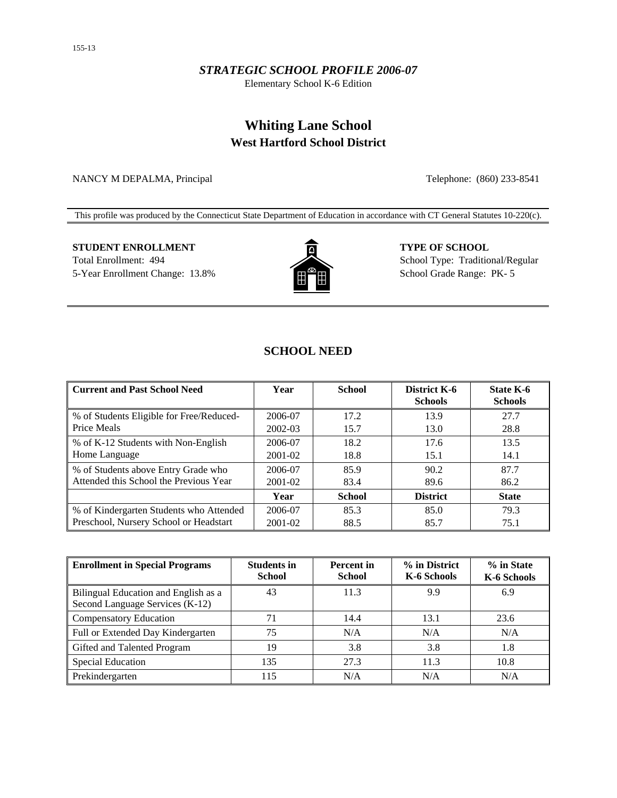### *STRATEGIC SCHOOL PROFILE 2006-07*

Elementary School K-6 Edition

# **Whiting Lane School West Hartford School District**

NANCY M DEPALMA, Principal Telephone: (860) 233-8541

This profile was produced by the Connecticut State Department of Education in accordance with CT General Statutes 10-220(c).

# **STUDENT ENROLLMENT TYPE OF SCHOOL** Total Enrollment: 494 School Type: Traditional/Regular



5-Year Enrollment Change: 13.8%  $\left[\begin{array}{ccc} \bullet & \bullet \\ \bullet & \bullet \end{array}\right]$  School Grade Range: PK- 5

# **SCHOOL NEED**

| <b>Current and Past School Need</b>      | Year        | <b>School</b> | <b>District K-6</b><br><b>Schools</b> | State K-6<br><b>Schools</b> |
|------------------------------------------|-------------|---------------|---------------------------------------|-----------------------------|
| % of Students Eligible for Free/Reduced- | 2006-07     | 17.2          | 13.9                                  | 27.7                        |
| Price Meals                              | 2002-03     | 15.7          | 13.0                                  | 28.8                        |
| % of K-12 Students with Non-English      | 2006-07     | 18.2          | 17.6                                  | 13.5                        |
| Home Language                            | 2001-02     | 18.8          | 15.1                                  | 14.1                        |
| % of Students above Entry Grade who      | 2006-07     | 85.9          | 90.2                                  | 87.7                        |
| Attended this School the Previous Year   | 2001-02     | 83.4          | 89.6                                  | 86.2                        |
|                                          | Year        | <b>School</b> | <b>District</b>                       | <b>State</b>                |
| % of Kindergarten Students who Attended  | 2006-07     | 85.3          | 85.0                                  | 79.3                        |
| Preschool, Nursery School or Headstart   | $2001 - 02$ | 88.5          | 85.7                                  | 75.1                        |

| <b>Enrollment in Special Programs</b>                                   | <b>Students in</b><br><b>School</b> | <b>Percent</b> in<br><b>School</b> | % in District<br>K-6 Schools | % in State<br>K-6 Schools |
|-------------------------------------------------------------------------|-------------------------------------|------------------------------------|------------------------------|---------------------------|
| Bilingual Education and English as a<br>Second Language Services (K-12) | 43                                  | 11.3                               | 9.9                          | 6.9                       |
| <b>Compensatory Education</b>                                           |                                     | 14.4                               | 13.1                         | 23.6                      |
| Full or Extended Day Kindergarten                                       | 75                                  | N/A                                | N/A                          | N/A                       |
| Gifted and Talented Program                                             | 19                                  | 3.8                                | 3.8                          | 1.8                       |
| <b>Special Education</b>                                                | 135                                 | 27.3                               | 11.3                         | 10.8                      |
| Prekindergarten                                                         | 115                                 | N/A                                | N/A                          | N/A                       |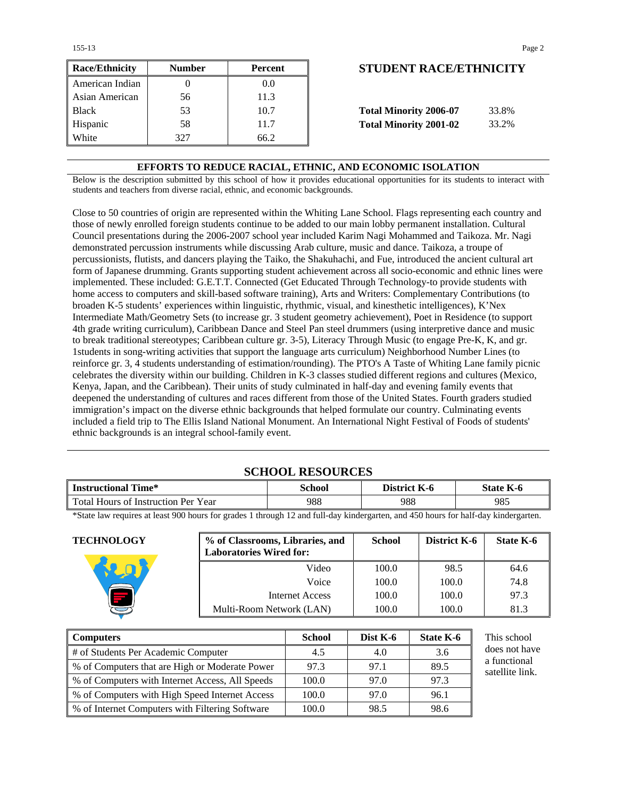155-13 Page 2

| <b>Race/Ethnicity</b> | <b>Number</b> | <b>Percent</b> | <b>STUDENT RACE/ETHNICIT</b>           |
|-----------------------|---------------|----------------|----------------------------------------|
| American Indian       |               | 0.0            |                                        |
| Asian American        | 56            | 11.3           |                                        |
| <b>Black</b>          | 53            | 10.7           | <b>Total Minority 2006-07</b><br>33.8% |
| Hispanic              | 58            | 11.7           | <b>Total Minority 2001-02</b><br>33.2% |
| White                 | 327           | 66.2           |                                        |

# **STUDENT RACE/ETHNICITY**

| <b>Total Minority 2006-07</b> | 33.8% |
|-------------------------------|-------|
| <b>Total Minority 2001-02</b> | 33.2% |

#### **EFFORTS TO REDUCE RACIAL, ETHNIC, AND ECONOMIC ISOLATION**

Below is the description submitted by this school of how it provides educational opportunities for its students to interact with students and teachers from diverse racial, ethnic, and economic backgrounds.

Close to 50 countries of origin are represented within the Whiting Lane School. Flags representing each country and those of newly enrolled foreign students continue to be added to our main lobby permanent installation. Cultural Council presentations during the 2006-2007 school year included Karim Nagi Mohammed and Taikoza. Mr. Nagi demonstrated percussion instruments while discussing Arab culture, music and dance. Taikoza, a troupe of percussionists, flutists, and dancers playing the Taiko, the Shakuhachi, and Fue, introduced the ancient cultural art form of Japanese drumming. Grants supporting student achievement across all socio-economic and ethnic lines were implemented. These included: G.E.T.T. Connected (Get Educated Through Technology-to provide students with home access to computers and skill-based software training), Arts and Writers: Complementary Contributions (to broaden K-5 students' experiences within linguistic, rhythmic, visual, and kinesthetic intelligences), K'Nex Intermediate Math/Geometry Sets (to increase gr. 3 student geometry achievement), Poet in Residence (to support 4th grade writing curriculum), Caribbean Dance and Steel Pan steel drummers (using interpretive dance and music to break traditional stereotypes; Caribbean culture gr. 3-5), Literacy Through Music (to engage Pre-K, K, and gr. 1students in song-writing activities that support the language arts curriculum) Neighborhood Number Lines (to reinforce gr. 3, 4 students understanding of estimation/rounding). The PTO's A Taste of Whiting Lane family picnic celebrates the diversity within our building. Children in K-3 classes studied different regions and cultures (Mexico, Kenya, Japan, and the Caribbean). Their units of study culminated in half-day and evening family events that deepened the understanding of cultures and races different from those of the United States. Fourth graders studied immigration's impact on the diverse ethnic backgrounds that helped formulate our country. Culminating events included a field trip to The Ellis Island National Monument. An International Night Festival of Foods of students' ethnic backgrounds is an integral school-family event.

## **SCHOOL RESOURCES**

| <b>Instructional Time*</b>          | School | District K-6 | State K-6 |
|-------------------------------------|--------|--------------|-----------|
| Total Hours of Instruction Per Year | 988    | 988          | 985       |

\*State law requires at least 900 hours for grades 1 through 12 and full-day kindergarten, and 450 hours for half-day kindergarten.

| <b>TECHNOLOGY</b> | % of Classrooms, Libraries, and<br><b>Laboratories Wired for:</b> | <b>School</b> | <b>District K-6</b> | State K-6 |
|-------------------|-------------------------------------------------------------------|---------------|---------------------|-----------|
|                   | Video                                                             | 100.0         | 98.5                | 64.6      |
|                   | Voice                                                             | 100.0         | 100.0               | 74.8      |
|                   | Internet Access                                                   | 100.0         | 100.0               | 97.3      |
|                   | Multi-Room Network (LAN)                                          | 100.0         | 100.0               | 81.3      |

| <b>Computers</b>                                   | <b>School</b> | Dist K-6 | State K-6 | This school                     |
|----------------------------------------------------|---------------|----------|-----------|---------------------------------|
| # of Students Per Academic Computer                | 4.5           | 4.0      | 3.6       | does not have                   |
| % of Computers that are High or Moderate Power     | 97.3          | 97.1     | 89.5      | a functional<br>satellite link. |
| % of Computers with Internet Access, All Speeds    | 100.0         | 97.0     | 97.3      |                                 |
| % of Computers with High Speed Internet Access     | 100.0         | 97.0     | 96.1      |                                 |
| \, % of Internet Computers with Filtering Software | 100.0         | 98.5     | 98.6      |                                 |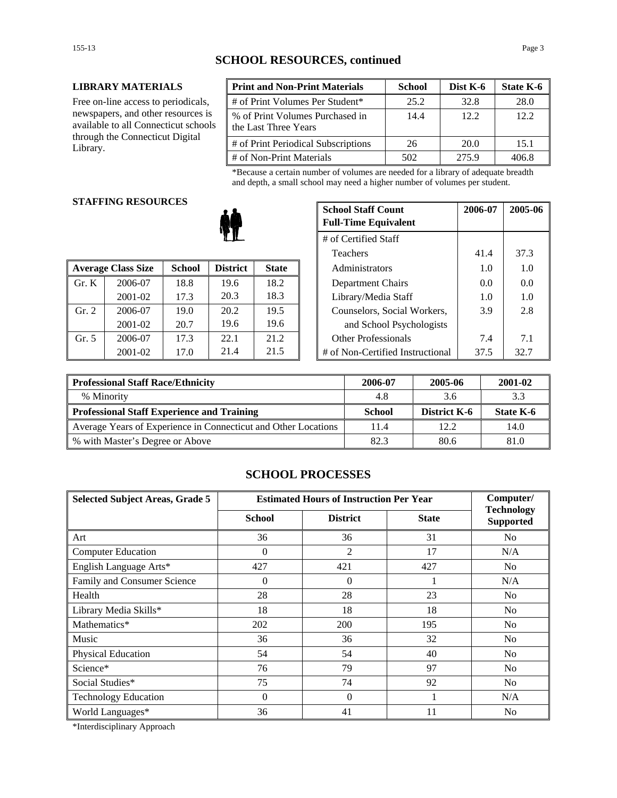#### **LIBRARY MATERIALS**

Free on-line access to periodicals, newspapers, and other resources is available to all Connecticut schools through the Connecticut Digital Library.

| <b>Print and Non-Print Materials</b>                    | <b>School</b> | Dist K-6 | State K-6 |
|---------------------------------------------------------|---------------|----------|-----------|
| # of Print Volumes Per Student*                         | 25.2          | 32.8     | 28.0      |
| % of Print Volumes Purchased in<br>the Last Three Years | 14.4          | 12.2.    | 12.2      |
| # of Print Periodical Subscriptions                     | 26            | 20.0     | 15.1      |
| # of Non-Print Materials                                | 502           | 275.9    | 406.8     |

\*Because a certain number of volumes are needed for a library of adequate breadth and depth, a small school may need a higher number of volumes per student.

# **STAFFING RESOURCES**

|       |                           |               |                 |              | 1 <u>cach</u> olo                | .    | <u>.</u> |
|-------|---------------------------|---------------|-----------------|--------------|----------------------------------|------|----------|
|       | <b>Average Class Size</b> | <b>School</b> | <b>District</b> | <b>State</b> | Administrators                   | 1.0  | 1.0      |
| Gr. K | 2006-07                   | 18.8          | 19.6            | 18.2         | Department Chairs                | 0.0  | 0.0      |
|       | 2001-02                   | 17.3          | 20.3            | 18.3         | Library/Media Staff              | 1.0  | 1.0      |
| Gr. 2 | 2006-07                   | 19.0          | 20.2            | 19.5         | Counselors, Social Workers,      | 3.9  | 2.8      |
|       | 2001-02                   | 20.7          | 19.6            | 19.6         | and School Psychologists         |      |          |
| Gr. 5 | 2006-07                   | 17.3          | 22.1            | 21.2         | <b>Other Professionals</b>       | 7.4  | 7.1      |
|       | 2001-02                   | 17.0          | 21.4            | 21.5         | # of Non-Certified Instructional | 37.5 | 32.7     |

| G NESUUNUES |               | <b>School Staff Count</b><br><b>Full-Time Equivalent</b> | 2006-07              | 2005-06 |                                  |      |      |
|-------------|---------------|----------------------------------------------------------|----------------------|---------|----------------------------------|------|------|
|             |               |                                                          | # of Certified Staff |         |                                  |      |      |
|             |               |                                                          |                      |         | <b>Teachers</b>                  | 41.4 | 37.3 |
| 'lass Size  | <b>School</b> | <b>District</b>                                          | <b>State</b>         |         | Administrators                   | 1.0  | 1.0  |
| 2006-07     | 18.8          | 19.6                                                     | 18.2                 |         | Department Chairs                | 0.0  | 0.0  |
| 2001-02     | 17.3          | 20.3                                                     | 18.3                 |         | Library/Media Staff              | 1.0  | 1.0  |
| 2006-07     | 19.0          | 20.2                                                     | 19.5                 |         | Counselors, Social Workers,      | 3.9  | 2.8  |
| 2001-02     | 20.7          | 19.6                                                     | 19.6                 |         | and School Psychologists         |      |      |
| 2006-07     | 17.3          | 22.1                                                     | 21.2                 |         | <b>Other Professionals</b>       | 7.4  | 7.1  |
| 2001-02     | 17.0          | 21.4                                                     | 21.5                 |         | # of Non-Certified Instructional | 37.5 | 32.7 |

| Professional Staff Race/Ethnicity                              | 2006-07       | 2005-06      | 2001-02   |
|----------------------------------------------------------------|---------------|--------------|-----------|
| % Minority                                                     | 4.8           | 3.6          | 3.3       |
| Professional Staff Experience and Training                     | <b>School</b> | District K-6 | State K-6 |
| Average Years of Experience in Connecticut and Other Locations | 11.4          | 12.2.        | 14.0      |
| ■ % with Master's Degree or Above                              | 82.3          | 80.6         | 81.0      |

## **SCHOOL PROCESSES**

| <b>Selected Subject Areas, Grade 5</b> | <b>Estimated Hours of Instruction Per Year</b> |                 |              | Computer/                             |
|----------------------------------------|------------------------------------------------|-----------------|--------------|---------------------------------------|
|                                        | <b>School</b>                                  | <b>District</b> | <b>State</b> | <b>Technology</b><br><b>Supported</b> |
| Art                                    | 36                                             | 36              | 31           | No                                    |
| <b>Computer Education</b>              | $\Omega$                                       | 2               | 17           | N/A                                   |
| English Language Arts*                 | 427                                            | 421             | 427          | N <sub>0</sub>                        |
| Family and Consumer Science            | $\theta$                                       | $\Omega$        |              | N/A                                   |
| Health                                 | 28                                             | 28              | 23           | No                                    |
| Library Media Skills*                  | 18                                             | 18              | 18           | N <sub>0</sub>                        |
| Mathematics*                           | 202                                            | 200             | 195          | N <sub>0</sub>                        |
| Music                                  | 36                                             | 36              | 32           | N <sub>0</sub>                        |
| Physical Education                     | 54                                             | 54              | 40           | No                                    |
| Science*                               | 76                                             | 79              | 97           | N <sub>0</sub>                        |
| Social Studies*                        | 75                                             | 74              | 92           | N <sub>0</sub>                        |
| <b>Technology Education</b>            | $\Omega$                                       | $\theta$        |              | N/A                                   |
| World Languages*                       | 36                                             | 41              | 11           | N <sub>0</sub>                        |

\*Interdisciplinary Approach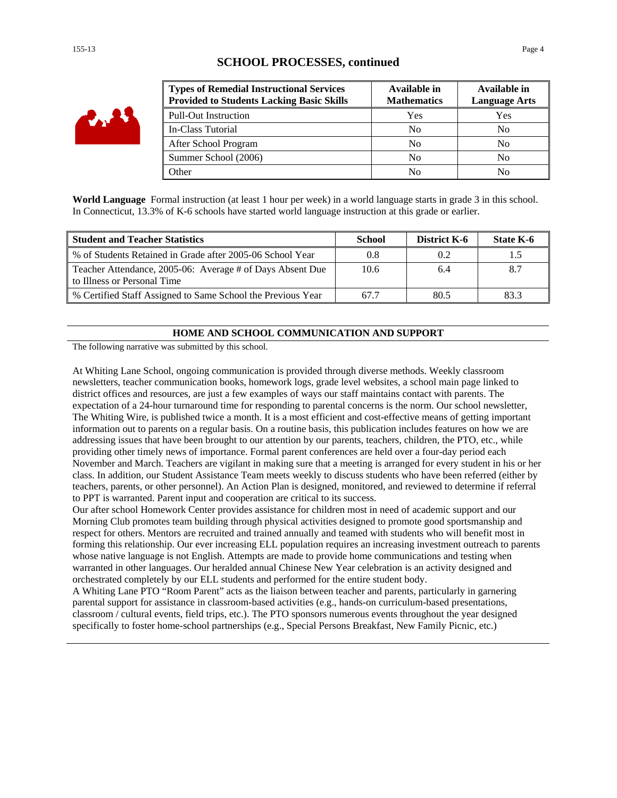| ۰<br><b>AV</b> |
|----------------|
|----------------|

## **SCHOOL PROCESSES, continued**

| <b>Types of Remedial Instructional Services</b><br><b>Provided to Students Lacking Basic Skills</b> | Available in<br><b>Mathematics</b> | Available in<br><b>Language Arts</b> |
|-----------------------------------------------------------------------------------------------------|------------------------------------|--------------------------------------|
| <b>Pull-Out Instruction</b>                                                                         | Yes                                | Yes                                  |
| In-Class Tutorial                                                                                   | N <sub>0</sub>                     | N <sub>0</sub>                       |
| After School Program                                                                                | N <sub>0</sub>                     | No                                   |
| Summer School (2006)                                                                                | N <sub>0</sub>                     | No                                   |
| <b>Other</b>                                                                                        | No                                 | No                                   |

**World Language** Formal instruction (at least 1 hour per week) in a world language starts in grade 3 in this school. In Connecticut, 13.3% of K-6 schools have started world language instruction at this grade or earlier.

| <b>Student and Teacher Statistics</b>                                                    | School | District K-6 | State K-6 |
|------------------------------------------------------------------------------------------|--------|--------------|-----------|
| % of Students Retained in Grade after 2005-06 School Year                                |        | 0.2          |           |
| Teacher Attendance, 2005-06: Average # of Days Absent Due<br>to Illness or Personal Time | 10.6   | 6.4          |           |
| % Certified Staff Assigned to Same School the Previous Year                              | 67.7   | 80.5         | 83.3      |

#### **HOME AND SCHOOL COMMUNICATION AND SUPPORT**

The following narrative was submitted by this school.

At Whiting Lane School, ongoing communication is provided through diverse methods. Weekly classroom newsletters, teacher communication books, homework logs, grade level websites, a school main page linked to district offices and resources, are just a few examples of ways our staff maintains contact with parents. The expectation of a 24-hour turnaround time for responding to parental concerns is the norm. Our school newsletter, The Whiting Wire, is published twice a month. It is a most efficient and cost-effective means of getting important information out to parents on a regular basis. On a routine basis, this publication includes features on how we are addressing issues that have been brought to our attention by our parents, teachers, children, the PTO, etc., while providing other timely news of importance. Formal parent conferences are held over a four-day period each November and March. Teachers are vigilant in making sure that a meeting is arranged for every student in his or her class. In addition, our Student Assistance Team meets weekly to discuss students who have been referred (either by teachers, parents, or other personnel). An Action Plan is designed, monitored, and reviewed to determine if referral to PPT is warranted. Parent input and cooperation are critical to its success.

Our after school Homework Center provides assistance for children most in need of academic support and our Morning Club promotes team building through physical activities designed to promote good sportsmanship and respect for others. Mentors are recruited and trained annually and teamed with students who will benefit most in forming this relationship. Our ever increasing ELL population requires an increasing investment outreach to parents whose native language is not English. Attempts are made to provide home communications and testing when warranted in other languages. Our heralded annual Chinese New Year celebration is an activity designed and orchestrated completely by our ELL students and performed for the entire student body.

A Whiting Lane PTO "Room Parent" acts as the liaison between teacher and parents, particularly in garnering parental support for assistance in classroom-based activities (e.g., hands-on curriculum-based presentations, classroom / cultural events, field trips, etc.). The PTO sponsors numerous events throughout the year designed specifically to foster home-school partnerships (e.g., Special Persons Breakfast, New Family Picnic, etc.)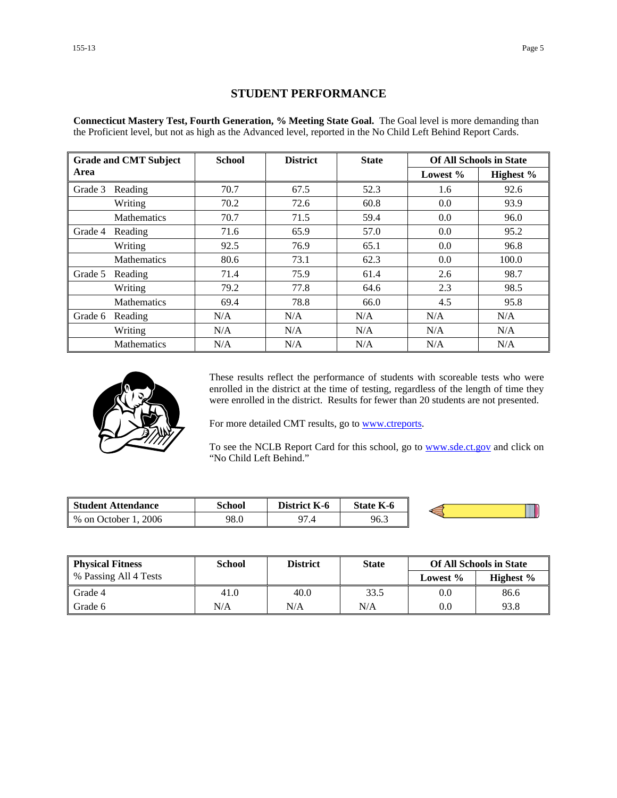# **STUDENT PERFORMANCE**

**Connecticut Mastery Test, Fourth Generation, % Meeting State Goal.** The Goal level is more demanding than the Proficient level, but not as high as the Advanced level, reported in the No Child Left Behind Report Cards.

|         | <b>Grade and CMT Subject</b> | <b>School</b> | <b>District</b> | <b>State</b> |          | <b>Of All Schools in State</b> |
|---------|------------------------------|---------------|-----------------|--------------|----------|--------------------------------|
| Area    |                              |               |                 |              | Lowest % | Highest %                      |
| Grade 3 | Reading                      | 70.7          | 67.5            | 52.3         | 1.6      | 92.6                           |
|         | Writing                      | 70.2          | 72.6            | 60.8         | 0.0      | 93.9                           |
|         | <b>Mathematics</b>           | 70.7          | 71.5            | 59.4         | 0.0      | 96.0                           |
| Grade 4 | Reading                      | 71.6          | 65.9            | 57.0         | 0.0      | 95.2                           |
|         | Writing                      | 92.5          | 76.9            | 65.1         | 0.0      | 96.8                           |
|         | <b>Mathematics</b>           | 80.6          | 73.1            | 62.3         | 0.0      | 100.0                          |
| Grade 5 | Reading                      | 71.4          | 75.9            | 61.4         | 2.6      | 98.7                           |
|         | Writing                      | 79.2          | 77.8            | 64.6         | 2.3      | 98.5                           |
|         | Mathematics                  | 69.4          | 78.8            | 66.0         | 4.5      | 95.8                           |
| Grade 6 | Reading                      | N/A           | N/A             | N/A          | N/A      | N/A                            |
|         | Writing                      | N/A           | N/A             | N/A          | N/A      | N/A                            |
|         | <b>Mathematics</b>           | N/A           | N/A             | N/A          | N/A      | N/A                            |



These results reflect the performance of students with scoreable tests who were enrolled in the district at the time of testing, regardless of the length of time they were enrolled in the district. Results for fewer than 20 students are not presented.

For more detailed CMT results, go to **www.ctreports**.

To see the NCLB Report Card for this school, go to **[www.sde.ct.gov](http://www.sde.ct.gov/)** and click on "No Child Left Behind."

| <b>Student Attendance</b>            | School | <b>District</b><br>K-6 | <b>State K-6</b> |  |
|--------------------------------------|--------|------------------------|------------------|--|
| 2006<br>$%$ on $\sqrt{ }$<br>October | 98.0   | $\Omega$<br>۰.,        | 96.3             |  |

| <b>Physical Fitness</b> | School | <b>District</b> | <b>State</b> |             | <b>Of All Schools in State</b> |
|-------------------------|--------|-----------------|--------------|-------------|--------------------------------|
| % Passing All 4 Tests   |        |                 |              | Lowest $\%$ | Highest $\%$                   |
| Grade 4                 | 41.0   | 40.0            | 33.5         | 0.0         | 86.6                           |
| Grade 6                 | N/A    | N/A             | N/A          | 0.0         | 93.8                           |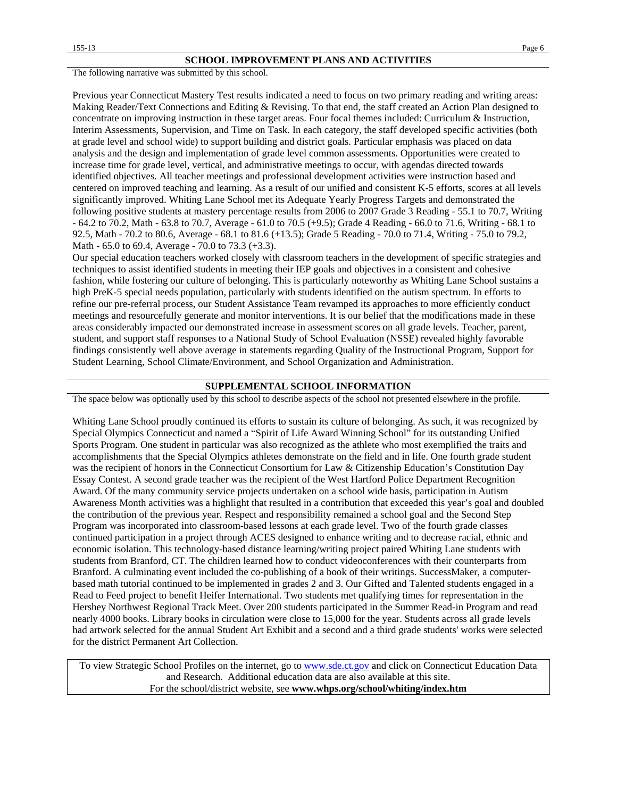The following narrative was submitted by this school.

Previous year Connecticut Mastery Test results indicated a need to focus on two primary reading and writing areas: Making Reader/Text Connections and Editing & Revising. To that end, the staff created an Action Plan designed to concentrate on improving instruction in these target areas. Four focal themes included: Curriculum & Instruction, Interim Assessments, Supervision, and Time on Task. In each category, the staff developed specific activities (both at grade level and school wide) to support building and district goals. Particular emphasis was placed on data analysis and the design and implementation of grade level common assessments. Opportunities were created to increase time for grade level, vertical, and administrative meetings to occur, with agendas directed towards identified objectives. All teacher meetings and professional development activities were instruction based and centered on improved teaching and learning. As a result of our unified and consistent K-5 efforts, scores at all levels significantly improved. Whiting Lane School met its Adequate Yearly Progress Targets and demonstrated the following positive students at mastery percentage results from 2006 to 2007 Grade 3 Reading - 55.1 to 70.7, Writing - 64.2 to 70.2, Math - 63.8 to 70.7, Average - 61.0 to 70.5 (+9.5); Grade 4 Reading - 66.0 to 71.6, Writing - 68.1 to 92.5, Math - 70.2 to 80.6, Average - 68.1 to 81.6 (+13.5); Grade 5 Reading - 70.0 to 71.4, Writing - 75.0 to 79.2, Math - 65.0 to 69.4, Average - 70.0 to 73.3 (+3.3).

Our special education teachers worked closely with classroom teachers in the development of specific strategies and techniques to assist identified students in meeting their IEP goals and objectives in a consistent and cohesive fashion, while fostering our culture of belonging. This is particularly noteworthy as Whiting Lane School sustains a high PreK-5 special needs population, particularly with students identified on the autism spectrum. In efforts to refine our pre-referral process, our Student Assistance Team revamped its approaches to more efficiently conduct meetings and resourcefully generate and monitor interventions. It is our belief that the modifications made in these areas considerably impacted our demonstrated increase in assessment scores on all grade levels. Teacher, parent, student, and support staff responses to a National Study of School Evaluation (NSSE) revealed highly favorable findings consistently well above average in statements regarding Quality of the Instructional Program, Support for Student Learning, School Climate/Environment, and School Organization and Administration.

#### **SUPPLEMENTAL SCHOOL INFORMATION**

The space below was optionally used by this school to describe aspects of the school not presented elsewhere in the profile.

Whiting Lane School proudly continued its efforts to sustain its culture of belonging. As such, it was recognized by Special Olympics Connecticut and named a "Spirit of Life Award Winning School" for its outstanding Unified Sports Program. One student in particular was also recognized as the athlete who most exemplified the traits and accomplishments that the Special Olympics athletes demonstrate on the field and in life. One fourth grade student was the recipient of honors in the Connecticut Consortium for Law & Citizenship Education's Constitution Day Essay Contest. A second grade teacher was the recipient of the West Hartford Police Department Recognition Award. Of the many community service projects undertaken on a school wide basis, participation in Autism Awareness Month activities was a highlight that resulted in a contribution that exceeded this year's goal and doubled the contribution of the previous year. Respect and responsibility remained a school goal and the Second Step Program was incorporated into classroom-based lessons at each grade level. Two of the fourth grade classes continued participation in a project through ACES designed to enhance writing and to decrease racial, ethnic and economic isolation. This technology-based distance learning/writing project paired Whiting Lane students with students from Branford, CT. The children learned how to conduct videoconferences with their counterparts from Branford. A culminating event included the co-publishing of a book of their writings. SuccessMaker, a computerbased math tutorial continued to be implemented in grades 2 and 3. Our Gifted and Talented students engaged in a Read to Feed project to benefit Heifer International. Two students met qualifying times for representation in the Hershey Northwest Regional Track Meet. Over 200 students participated in the Summer Read-in Program and read nearly 4000 books. Library books in circulation were close to 15,000 for the year. Students across all grade levels had artwork selected for the annual Student Art Exhibit and a second and a third grade students' works were selected for the district Permanent Art Collection.

To view Strategic School Profiles on the internet, go to [www.sde.ct.gov](http://www.sde.ct.gov/) and click on Connecticut Education Data and Research. Additional education data are also available at this site. For the school/district website, see **www.whps.org/school/whiting/index.htm**